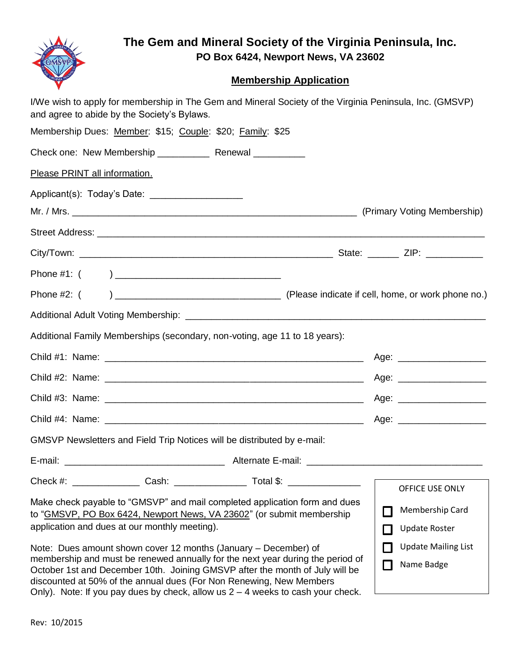

## **The Gem and Mineral Society of the Virginia Peninsula, Inc. PO Box 6424, Newport News, VA 23602**

## **Membership Application**

| and agree to abide by the Society's Bylaws.                                                                                                         |  |  | I/We wish to apply for membership in The Gem and Mineral Society of the Virginia Peninsula, Inc. (GMSVP) |                             |                            |
|-----------------------------------------------------------------------------------------------------------------------------------------------------|--|--|----------------------------------------------------------------------------------------------------------|-----------------------------|----------------------------|
| Membership Dues: Member: \$15; Couple: \$20; Family: \$25                                                                                           |  |  |                                                                                                          |                             |                            |
|                                                                                                                                                     |  |  |                                                                                                          |                             |                            |
| Please PRINT all information.                                                                                                                       |  |  |                                                                                                          |                             |                            |
| Applicant(s): Today's Date: _____________________                                                                                                   |  |  |                                                                                                          |                             |                            |
|                                                                                                                                                     |  |  |                                                                                                          |                             |                            |
|                                                                                                                                                     |  |  |                                                                                                          |                             |                            |
|                                                                                                                                                     |  |  |                                                                                                          |                             |                            |
|                                                                                                                                                     |  |  |                                                                                                          |                             |                            |
|                                                                                                                                                     |  |  |                                                                                                          |                             |                            |
|                                                                                                                                                     |  |  |                                                                                                          |                             |                            |
| Additional Family Memberships (secondary, non-voting, age 11 to 18 years):                                                                          |  |  |                                                                                                          |                             |                            |
|                                                                                                                                                     |  |  |                                                                                                          |                             |                            |
|                                                                                                                                                     |  |  |                                                                                                          |                             |                            |
|                                                                                                                                                     |  |  |                                                                                                          |                             | Age: ___________________   |
|                                                                                                                                                     |  |  |                                                                                                          |                             |                            |
| GMSVP Newsletters and Field Trip Notices will be distributed by e-mail:                                                                             |  |  |                                                                                                          |                             |                            |
|                                                                                                                                                     |  |  |                                                                                                          |                             |                            |
|                                                                                                                                                     |  |  |                                                                                                          |                             | OFFICE USE ONLY            |
| Make check payable to "GMSVP" and mail completed application form and dues<br>to "GMSVP, PO Box 6424, Newport News, VA 23602" (or submit membership |  |  |                                                                                                          | Ш                           | Membership Card            |
| application and dues at our monthly meeting).                                                                                                       |  |  |                                                                                                          | $\mathcal{L}_{\mathcal{A}}$ | <b>Update Roster</b>       |
| Note: Dues amount shown cover 12 months (January – December) of<br>membership and must be renewed annually for the next year during the period of   |  |  |                                                                                                          | $\Box$                      | <b>Update Mailing List</b> |
| October 1st and December 10th. Joining GMSVP after the month of July will be<br>discounted at 50% of the annual dues (For Non Renewing, New Members |  |  |                                                                                                          | П                           | Name Badge                 |

Rev: 10/2015

Only). Note: If you pay dues by check, allow us 2 – 4 weeks to cash your check.